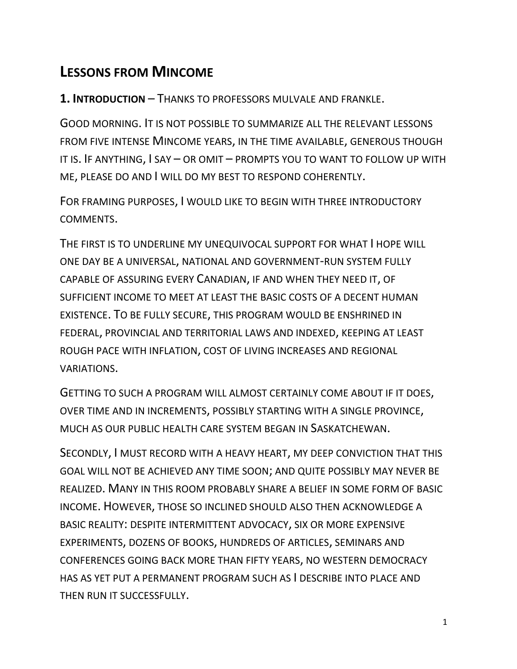# **LESSONS FROM MINCOME**

**1. INTRODUCTION** – THANKS TO PROFESSORS MULVALE AND FRANKLE.

GOOD MORNING. IT IS NOT POSSIBLE TO SUMMARIZE ALL THE RELEVANT LESSONS FROM FIVE INTENSE MINCOME YEARS, IN THE TIME AVAILABLE, GENEROUS THOUGH IT IS. IF ANYTHING, I SAY – OR OMIT – PROMPTS YOU TO WANT TO FOLLOW UP WITH ME, PLEASE DO AND I WILL DO MY BEST TO RESPOND COHERENTLY.

FOR FRAMING PURPOSES, I WOULD LIKE TO BEGIN WITH THREE INTRODUCTORY COMMENTS.

THE FIRST IS TO UNDERLINE MY UNEQUIVOCAL SUPPORT FOR WHAT I HOPE WILL ONE DAY BE A UNIVERSAL, NATIONAL AND GOVERNMENT-RUN SYSTEM FULLY CAPABLE OF ASSURING EVERY CANADIAN, IF AND WHEN THEY NEED IT, OF SUFFICIENT INCOME TO MEET AT LEAST THE BASIC COSTS OF A DECENT HUMAN EXISTENCE. TO BE FULLY SECURE, THIS PROGRAM WOULD BE ENSHRINED IN FEDERAL, PROVINCIAL AND TERRITORIAL LAWS AND INDEXED, KEEPING AT LEAST ROUGH PACE WITH INFLATION, COST OF LIVING INCREASES AND REGIONAL VARIATIONS.

GETTING TO SUCH A PROGRAM WILL ALMOST CERTAINLY COME ABOUT IF IT DOES, OVER TIME AND IN INCREMENTS, POSSIBLY STARTING WITH A SINGLE PROVINCE, MUCH AS OUR PUBLIC HEALTH CARE SYSTEM BEGAN IN SASKATCHEWAN.

SECONDLY, I MUST RECORD WITH A HEAVY HEART, MY DEEP CONVICTION THAT THIS GOAL WILL NOT BE ACHIEVED ANY TIME SOON; AND QUITE POSSIBLY MAY NEVER BE REALIZED. MANY IN THIS ROOM PROBABLY SHARE A BELIEF IN SOME FORM OF BASIC INCOME. HOWEVER, THOSE SO INCLINED SHOULD ALSO THEN ACKNOWLEDGE A BASIC REALITY: DESPITE INTERMITTENT ADVOCACY, SIX OR MORE EXPENSIVE EXPERIMENTS, DOZENS OF BOOKS, HUNDREDS OF ARTICLES, SEMINARS AND CONFERENCES GOING BACK MORE THAN FIFTY YEARS, NO WESTERN DEMOCRACY HAS AS YET PUT A PERMANENT PROGRAM SUCH AS I DESCRIBE INTO PLACE AND THEN RUN IT SUCCESSFULLY.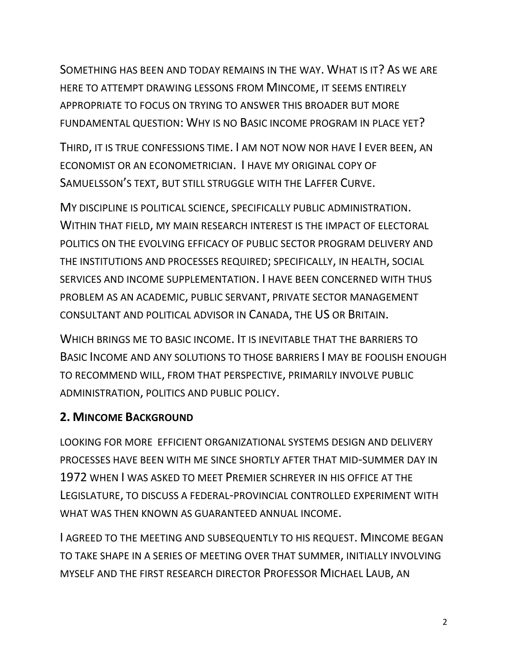SOMETHING HAS BEEN AND TODAY REMAINS IN THE WAY. WHAT IS IT? AS WE ARE HERE TO ATTEMPT DRAWING LESSONS FROM MINCOME, IT SEEMS ENTIRELY APPROPRIATE TO FOCUS ON TRYING TO ANSWER THIS BROADER BUT MORE FUNDAMENTAL QUESTION: WHY IS NO BASIC INCOME PROGRAM IN PLACE YET?

THIRD, IT IS TRUE CONFESSIONS TIME. I AM NOT NOW NOR HAVE I EVER BEEN, AN ECONOMIST OR AN ECONOMETRICIAN. I HAVE MY ORIGINAL COPY OF SAMUELSSON'S TEXT, BUT STILL STRUGGLE WITH THE LAFFER CURVE.

MY DISCIPLINE IS POLITICAL SCIENCE, SPECIFICALLY PUBLIC ADMINISTRATION. WITHIN THAT FIELD, MY MAIN RESEARCH INTEREST IS THE IMPACT OF ELECTORAL POLITICS ON THE EVOLVING EFFICACY OF PUBLIC SECTOR PROGRAM DELIVERY AND THE INSTITUTIONS AND PROCESSES REQUIRED; SPECIFICALLY, IN HEALTH, SOCIAL SERVICES AND INCOME SUPPLEMENTATION. I HAVE BEEN CONCERNED WITH THUS PROBLEM AS AN ACADEMIC, PUBLIC SERVANT, PRIVATE SECTOR MANAGEMENT CONSULTANT AND POLITICAL ADVISOR IN CANADA, THE US OR BRITAIN.

WHICH BRINGS ME TO BASIC INCOME. IT IS INEVITABLE THAT THE BARRIERS TO BASIC INCOME AND ANY SOLUTIONS TO THOSE BARRIERS I MAY BE FOOLISH ENOUGH TO RECOMMEND WILL, FROM THAT PERSPECTIVE, PRIMARILY INVOLVE PUBLIC ADMINISTRATION, POLITICS AND PUBLIC POLICY.

#### **2. MINCOME BACKGROUND**

LOOKING FOR MORE EFFICIENT ORGANIZATIONAL SYSTEMS DESIGN AND DELIVERY PROCESSES HAVE BEEN WITH ME SINCE SHORTLY AFTER THAT MID-SUMMER DAY IN 1972 WHEN I WAS ASKED TO MEET PREMIER SCHREYER IN HIS OFFICE AT THE LEGISLATURE, TO DISCUSS A FEDERAL-PROVINCIAL CONTROLLED EXPERIMENT WITH WHAT WAS THEN KNOWN AS GUARANTEED ANNUAL INCOME.

I AGREED TO THE MEETING AND SUBSEQUENTLY TO HIS REQUEST. MINCOME BEGAN TO TAKE SHAPE IN A SERIES OF MEETING OVER THAT SUMMER, INITIALLY INVOLVING MYSELF AND THE FIRST RESEARCH DIRECTOR PROFESSOR MICHAEL LAUB, AN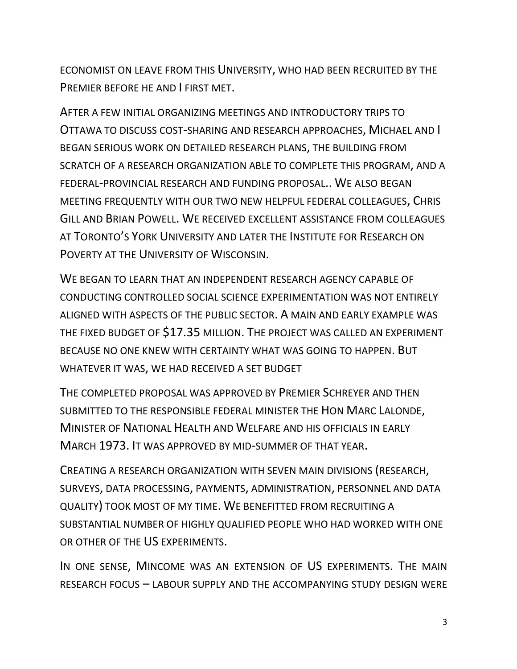ECONOMIST ON LEAVE FROM THIS UNIVERSITY, WHO HAD BEEN RECRUITED BY THE PREMIER BEFORE HE AND I FIRST MET.

AFTER A FEW INITIAL ORGANIZING MEETINGS AND INTRODUCTORY TRIPS TO OTTAWA TO DISCUSS COST-SHARING AND RESEARCH APPROACHES, MICHAEL AND I BEGAN SERIOUS WORK ON DETAILED RESEARCH PLANS, THE BUILDING FROM SCRATCH OF A RESEARCH ORGANIZATION ABLE TO COMPLETE THIS PROGRAM, AND A FEDERAL-PROVINCIAL RESEARCH AND FUNDING PROPOSAL.. WE ALSO BEGAN MEETING FREQUENTLY WITH OUR TWO NEW HELPFUL FEDERAL COLLEAGUES, CHRIS GILL AND BRIAN POWELL. WE RECEIVED EXCELLENT ASSISTANCE FROM COLLEAGUES AT TORONTO'S YORK UNIVERSITY AND LATER THE INSTITUTE FOR RESEARCH ON POVERTY AT THE UNIVERSITY OF WISCONSIN.

WE BEGAN TO LEARN THAT AN INDEPENDENT RESEARCH AGENCY CAPABLE OF CONDUCTING CONTROLLED SOCIAL SCIENCE EXPERIMENTATION WAS NOT ENTIRELY ALIGNED WITH ASPECTS OF THE PUBLIC SECTOR. A MAIN AND EARLY EXAMPLE WAS THE FIXED BUDGET OF \$17.35 MILLION. THE PROJECT WAS CALLED AN EXPERIMENT BECAUSE NO ONE KNEW WITH CERTAINTY WHAT WAS GOING TO HAPPEN. BUT WHATEVER IT WAS, WE HAD RECEIVED A SET BUDGET

THE COMPLETED PROPOSAL WAS APPROVED BY PREMIER SCHREYER AND THEN SUBMITTED TO THE RESPONSIBLE FEDERAL MINISTER THE HON MARC LALONDE, MINISTER OF NATIONAL HEALTH AND WELFARE AND HIS OFFICIALS IN EARLY MARCH 1973. IT WAS APPROVED BY MID-SUMMER OF THAT YEAR.

CREATING A RESEARCH ORGANIZATION WITH SEVEN MAIN DIVISIONS (RESEARCH, SURVEYS, DATA PROCESSING, PAYMENTS, ADMINISTRATION, PERSONNEL AND DATA QUALITY) TOOK MOST OF MY TIME. WE BENEFITTED FROM RECRUITING A SUBSTANTIAL NUMBER OF HIGHLY QUALIFIED PEOPLE WHO HAD WORKED WITH ONE OR OTHER OF THE US EXPERIMENTS.

IN ONE SENSE, MINCOME WAS AN EXTENSION OF US EXPERIMENTS. THE MAIN RESEARCH FOCUS – LABOUR SUPPLY AND THE ACCOMPANYING STUDY DESIGN WERE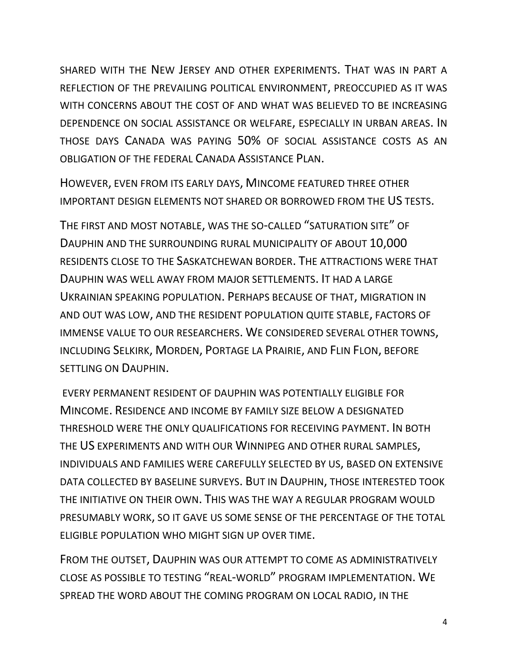SHARED WITH THE NEW JERSEY AND OTHER EXPERIMENTS. THAT WAS IN PART A REFLECTION OF THE PREVAILING POLITICAL ENVIRONMENT, PREOCCUPIED AS IT WAS WITH CONCERNS ABOUT THE COST OF AND WHAT WAS BELIEVED TO BE INCREASING DEPENDENCE ON SOCIAL ASSISTANCE OR WELFARE, ESPECIALLY IN URBAN AREAS. IN THOSE DAYS CANADA WAS PAYING 50% OF SOCIAL ASSISTANCE COSTS AS AN OBLIGATION OF THE FEDERAL CANADA ASSISTANCE PLAN.

HOWEVER, EVEN FROM ITS EARLY DAYS, MINCOME FEATURED THREE OTHER IMPORTANT DESIGN ELEMENTS NOT SHARED OR BORROWED FROM THE US TESTS.

THE FIRST AND MOST NOTABLE, WAS THE SO-CALLED "SATURATION SITE" OF DAUPHIN AND THE SURROUNDING RURAL MUNICIPALITY OF ABOUT 10,000 RESIDENTS CLOSE TO THE SASKATCHEWAN BORDER. THE ATTRACTIONS WERE THAT DAUPHIN WAS WELL AWAY FROM MAJOR SETTLEMENTS. IT HAD A LARGE UKRAINIAN SPEAKING POPULATION. PERHAPS BECAUSE OF THAT, MIGRATION IN AND OUT WAS LOW, AND THE RESIDENT POPULATION QUITE STABLE, FACTORS OF IMMENSE VALUE TO OUR RESEARCHERS. WE CONSIDERED SEVERAL OTHER TOWNS, INCLUDING SELKIRK, MORDEN, PORTAGE LA PRAIRIE, AND FLIN FLON, BEFORE SETTLING ON DAUPHIN.

EVERY PERMANENT RESIDENT OF DAUPHIN WAS POTENTIALLY ELIGIBLE FOR MINCOME. RESIDENCE AND INCOME BY FAMILY SIZE BELOW A DESIGNATED THRESHOLD WERE THE ONLY QUALIFICATIONS FOR RECEIVING PAYMENT. IN BOTH THE US EXPERIMENTS AND WITH OUR WINNIPEG AND OTHER RURAL SAMPLES, INDIVIDUALS AND FAMILIES WERE CAREFULLY SELECTED BY US, BASED ON EXTENSIVE DATA COLLECTED BY BASELINE SURVEYS. BUT IN DAUPHIN, THOSE INTERESTED TOOK THE INITIATIVE ON THEIR OWN. THIS WAS THE WAY A REGULAR PROGRAM WOULD PRESUMABLY WORK, SO IT GAVE US SOME SENSE OF THE PERCENTAGE OF THE TOTAL ELIGIBLE POPULATION WHO MIGHT SIGN UP OVER TIME.

FROM THE OUTSET, DAUPHIN WAS OUR ATTEMPT TO COME AS ADMINISTRATIVELY CLOSE AS POSSIBLE TO TESTING "REAL-WORLD" PROGRAM IMPLEMENTATION. WE SPREAD THE WORD ABOUT THE COMING PROGRAM ON LOCAL RADIO, IN THE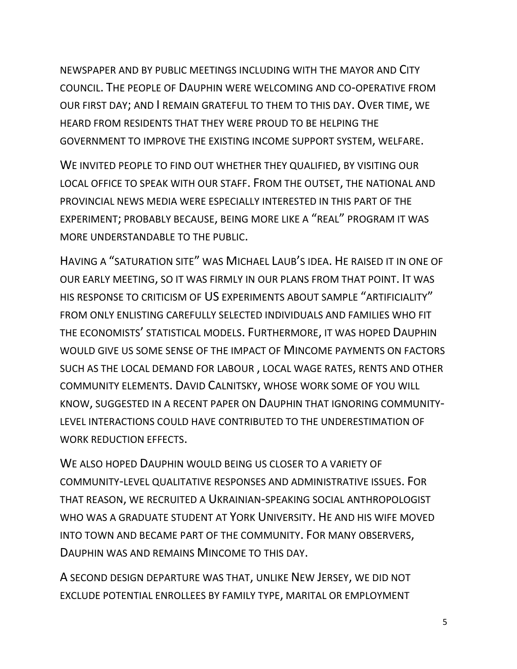NEWSPAPER AND BY PUBLIC MEETINGS INCLUDING WITH THE MAYOR AND CITY COUNCIL. THE PEOPLE OF DAUPHIN WERE WELCOMING AND CO-OPERATIVE FROM OUR FIRST DAY; AND I REMAIN GRATEFUL TO THEM TO THIS DAY. OVER TIME, WE HEARD FROM RESIDENTS THAT THEY WERE PROUD TO BE HELPING THE GOVERNMENT TO IMPROVE THE EXISTING INCOME SUPPORT SYSTEM, WELFARE.

WE INVITED PEOPLE TO FIND OUT WHETHER THEY QUALIFIED, BY VISITING OUR LOCAL OFFICE TO SPEAK WITH OUR STAFF. FROM THE OUTSET, THE NATIONAL AND PROVINCIAL NEWS MEDIA WERE ESPECIALLY INTERESTED IN THIS PART OF THE EXPERIMENT; PROBABLY BECAUSE, BEING MORE LIKE A "REAL" PROGRAM IT WAS MORE UNDERSTANDABLE TO THE PUBLIC.

HAVING A "SATURATION SITE" WAS MICHAEL LAUB'S IDEA. HE RAISED IT IN ONE OF OUR EARLY MEETING, SO IT WAS FIRMLY IN OUR PLANS FROM THAT POINT. IT WAS HIS RESPONSE TO CRITICISM OF US EXPERIMENTS ABOUT SAMPLE "ARTIFICIALITY" FROM ONLY ENLISTING CAREFULLY SELECTED INDIVIDUALS AND FAMILIES WHO FIT THE ECONOMISTS' STATISTICAL MODELS. FURTHERMORE, IT WAS HOPED DAUPHIN WOULD GIVE US SOME SENSE OF THE IMPACT OF MINCOME PAYMENTS ON FACTORS SUCH AS THE LOCAL DEMAND FOR LABOUR , LOCAL WAGE RATES, RENTS AND OTHER COMMUNITY ELEMENTS. DAVID CALNITSKY, WHOSE WORK SOME OF YOU WILL KNOW, SUGGESTED IN A RECENT PAPER ON DAUPHIN THAT IGNORING COMMUNITY-LEVEL INTERACTIONS COULD HAVE CONTRIBUTED TO THE UNDERESTIMATION OF WORK REDUCTION EFFECTS.

WE ALSO HOPED DAUPHIN WOULD BEING US CLOSER TO A VARIETY OF COMMUNITY-LEVEL QUALITATIVE RESPONSES AND ADMINISTRATIVE ISSUES. FOR THAT REASON, WE RECRUITED A UKRAINIAN-SPEAKING SOCIAL ANTHROPOLOGIST WHO WAS A GRADUATE STUDENT AT YORK UNIVERSITY. HE AND HIS WIFE MOVED INTO TOWN AND BECAME PART OF THE COMMUNITY. FOR MANY OBSERVERS, DAUPHIN WAS AND REMAINS MINCOME TO THIS DAY.

A SECOND DESIGN DEPARTURE WAS THAT, UNLIKE NEW JERSEY, WE DID NOT EXCLUDE POTENTIAL ENROLLEES BY FAMILY TYPE, MARITAL OR EMPLOYMENT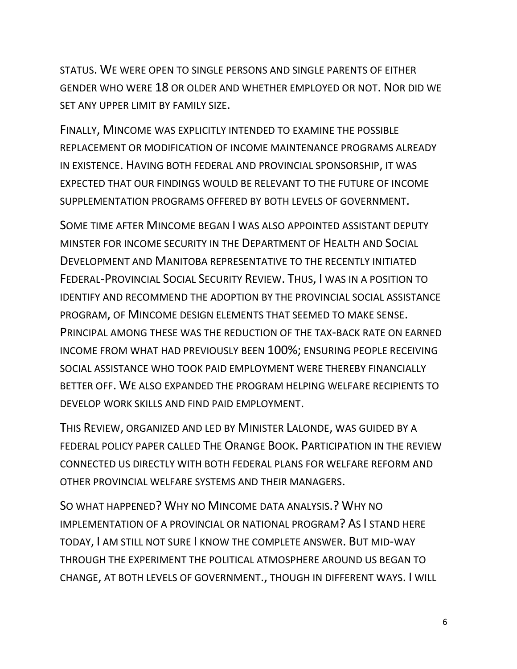STATUS. WE WERE OPEN TO SINGLE PERSONS AND SINGLE PARENTS OF EITHER GENDER WHO WERE 18 OR OLDER AND WHETHER EMPLOYED OR NOT. NOR DID WE SET ANY UPPER LIMIT BY FAMILY SIZE.

FINALLY, MINCOME WAS EXPLICITLY INTENDED TO EXAMINE THE POSSIBLE REPLACEMENT OR MODIFICATION OF INCOME MAINTENANCE PROGRAMS ALREADY IN EXISTENCE. HAVING BOTH FEDERAL AND PROVINCIAL SPONSORSHIP, IT WAS EXPECTED THAT OUR FINDINGS WOULD BE RELEVANT TO THE FUTURE OF INCOME SUPPLEMENTATION PROGRAMS OFFERED BY BOTH LEVELS OF GOVERNMENT.

SOME TIME AFTER MINCOME BEGAN I WAS ALSO APPOINTED ASSISTANT DEPUTY MINSTER FOR INCOME SECURITY IN THE DEPARTMENT OF HEALTH AND SOCIAL DEVELOPMENT AND MANITOBA REPRESENTATIVE TO THE RECENTLY INITIATED FEDERAL-PROVINCIAL SOCIAL SECURITY REVIEW. THUS, I WAS IN A POSITION TO IDENTIFY AND RECOMMEND THE ADOPTION BY THE PROVINCIAL SOCIAL ASSISTANCE PROGRAM, OF MINCOME DESIGN ELEMENTS THAT SEEMED TO MAKE SENSE. PRINCIPAL AMONG THESE WAS THE REDUCTION OF THE TAX-BACK RATE ON EARNED INCOME FROM WHAT HAD PREVIOUSLY BEEN 100%; ENSURING PEOPLE RECEIVING SOCIAL ASSISTANCE WHO TOOK PAID EMPLOYMENT WERE THEREBY FINANCIALLY BETTER OFF. WE ALSO EXPANDED THE PROGRAM HELPING WELFARE RECIPIENTS TO DEVELOP WORK SKILLS AND FIND PAID EMPLOYMENT.

THIS REVIEW, ORGANIZED AND LED BY MINISTER LALONDE, WAS GUIDED BY A FEDERAL POLICY PAPER CALLED THE ORANGE BOOK. PARTICIPATION IN THE REVIEW CONNECTED US DIRECTLY WITH BOTH FEDERAL PLANS FOR WELFARE REFORM AND OTHER PROVINCIAL WELFARE SYSTEMS AND THEIR MANAGERS.

SO WHAT HAPPENED? WHY NO MINCOME DATA ANALYSIS.? WHY NO IMPLEMENTATION OF A PROVINCIAL OR NATIONAL PROGRAM? AS I STAND HERE TODAY, I AM STILL NOT SURE I KNOW THE COMPLETE ANSWER. BUT MID-WAY THROUGH THE EXPERIMENT THE POLITICAL ATMOSPHERE AROUND US BEGAN TO CHANGE, AT BOTH LEVELS OF GOVERNMENT., THOUGH IN DIFFERENT WAYS. I WILL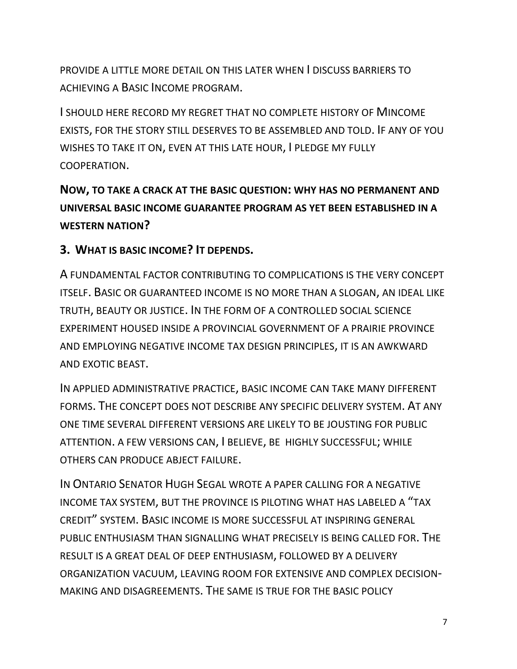PROVIDE A LITTLE MORE DETAIL ON THIS LATER WHEN I DISCUSS BARRIERS TO ACHIEVING A BASIC INCOME PROGRAM.

I SHOULD HERE RECORD MY REGRET THAT NO COMPLETE HISTORY OF MINCOME EXISTS, FOR THE STORY STILL DESERVES TO BE ASSEMBLED AND TOLD. IF ANY OF YOU WISHES TO TAKE IT ON, EVEN AT THIS LATE HOUR, I PLEDGE MY FULLY COOPERATION.

## **NOW, TO TAKE A CRACK AT THE BASIC QUESTION: WHY HAS NO PERMANENT AND UNIVERSAL BASIC INCOME GUARANTEE PROGRAM AS YET BEEN ESTABLISHED IN A WESTERN NATION?**

#### **3. WHAT IS BASIC INCOME? IT DEPENDS.**

A FUNDAMENTAL FACTOR CONTRIBUTING TO COMPLICATIONS IS THE VERY CONCEPT ITSELF. BASIC OR GUARANTEED INCOME IS NO MORE THAN A SLOGAN, AN IDEAL LIKE TRUTH, BEAUTY OR JUSTICE. IN THE FORM OF A CONTROLLED SOCIAL SCIENCE EXPERIMENT HOUSED INSIDE A PROVINCIAL GOVERNMENT OF A PRAIRIE PROVINCE AND EMPLOYING NEGATIVE INCOME TAX DESIGN PRINCIPLES, IT IS AN AWKWARD AND EXOTIC BEAST.

IN APPLIED ADMINISTRATIVE PRACTICE, BASIC INCOME CAN TAKE MANY DIFFERENT FORMS. THE CONCEPT DOES NOT DESCRIBE ANY SPECIFIC DELIVERY SYSTEM. AT ANY ONE TIME SEVERAL DIFFERENT VERSIONS ARE LIKELY TO BE JOUSTING FOR PUBLIC ATTENTION. A FEW VERSIONS CAN, I BELIEVE, BE HIGHLY SUCCESSFUL; WHILE OTHERS CAN PRODUCE ABJECT FAILURE.

IN ONTARIO SENATOR HUGH SEGAL WROTE A PAPER CALLING FOR A NEGATIVE INCOME TAX SYSTEM, BUT THE PROVINCE IS PILOTING WHAT HAS LABELED A "TAX CREDIT" SYSTEM. BASIC INCOME IS MORE SUCCESSFUL AT INSPIRING GENERAL PUBLIC ENTHUSIASM THAN SIGNALLING WHAT PRECISELY IS BEING CALLED FOR. THE RESULT IS A GREAT DEAL OF DEEP ENTHUSIASM, FOLLOWED BY A DELIVERY ORGANIZATION VACUUM, LEAVING ROOM FOR EXTENSIVE AND COMPLEX DECISION-MAKING AND DISAGREEMENTS. THE SAME IS TRUE FOR THE BASIC POLICY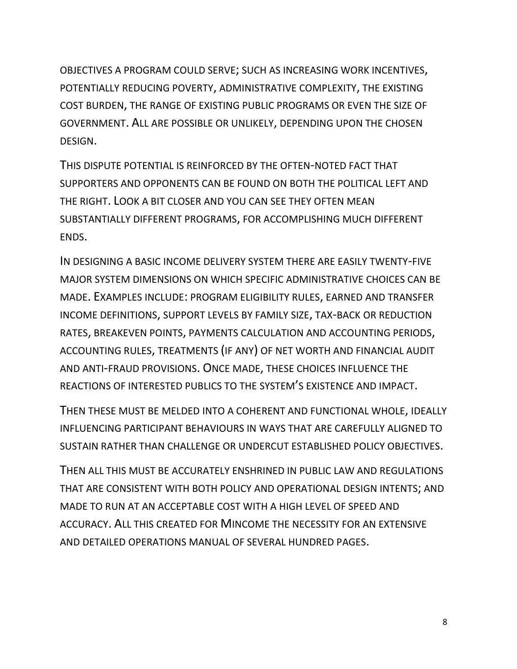OBJECTIVES A PROGRAM COULD SERVE; SUCH AS INCREASING WORK INCENTIVES, POTENTIALLY REDUCING POVERTY, ADMINISTRATIVE COMPLEXITY, THE EXISTING COST BURDEN, THE RANGE OF EXISTING PUBLIC PROGRAMS OR EVEN THE SIZE OF GOVERNMENT. ALL ARE POSSIBLE OR UNLIKELY, DEPENDING UPON THE CHOSEN DESIGN.

THIS DISPUTE POTENTIAL IS REINFORCED BY THE OFTEN-NOTED FACT THAT SUPPORTERS AND OPPONENTS CAN BE FOUND ON BOTH THE POLITICAL LEFT AND THE RIGHT. LOOK A BIT CLOSER AND YOU CAN SEE THEY OFTEN MEAN SUBSTANTIALLY DIFFERENT PROGRAMS, FOR ACCOMPLISHING MUCH DIFFERENT ENDS.

IN DESIGNING A BASIC INCOME DELIVERY SYSTEM THERE ARE EASILY TWENTY-FIVE MAJOR SYSTEM DIMENSIONS ON WHICH SPECIFIC ADMINISTRATIVE CHOICES CAN BE MADE. EXAMPLES INCLUDE: PROGRAM ELIGIBILITY RULES, EARNED AND TRANSFER INCOME DEFINITIONS, SUPPORT LEVELS BY FAMILY SIZE, TAX-BACK OR REDUCTION RATES, BREAKEVEN POINTS, PAYMENTS CALCULATION AND ACCOUNTING PERIODS, ACCOUNTING RULES, TREATMENTS (IF ANY) OF NET WORTH AND FINANCIAL AUDIT AND ANTI-FRAUD PROVISIONS. ONCE MADE, THESE CHOICES INFLUENCE THE REACTIONS OF INTERESTED PUBLICS TO THE SYSTEM'S EXISTENCE AND IMPACT.

THEN THESE MUST BE MELDED INTO A COHERENT AND FUNCTIONAL WHOLE, IDEALLY INFLUENCING PARTICIPANT BEHAVIOURS IN WAYS THAT ARE CAREFULLY ALIGNED TO SUSTAIN RATHER THAN CHALLENGE OR UNDERCUT ESTABLISHED POLICY OBJECTIVES.

THEN ALL THIS MUST BE ACCURATELY ENSHRINED IN PUBLIC LAW AND REGULATIONS THAT ARE CONSISTENT WITH BOTH POLICY AND OPERATIONAL DESIGN INTENTS; AND MADE TO RUN AT AN ACCEPTABLE COST WITH A HIGH LEVEL OF SPEED AND ACCURACY. ALL THIS CREATED FOR MINCOME THE NECESSITY FOR AN EXTENSIVE AND DETAILED OPERATIONS MANUAL OF SEVERAL HUNDRED PAGES.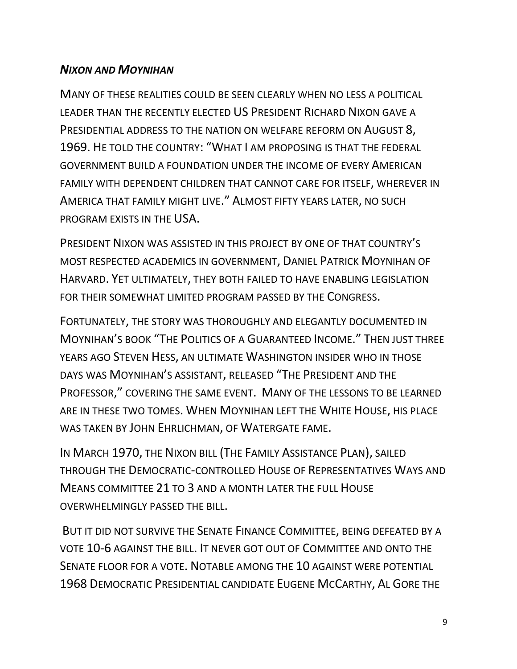## *NIXON AND MOYNIHAN*

MANY OF THESE REALITIES COULD BE SEEN CLEARLY WHEN NO LESS A POLITICAL LEADER THAN THE RECENTLY ELECTED US PRESIDENT RICHARD NIXON GAVE A PRESIDENTIAL ADDRESS TO THE NATION ON WELFARE REFORM ON AUGUST 8, 1969. HE TOLD THE COUNTRY: "WHAT I AM PROPOSING IS THAT THE FEDERAL GOVERNMENT BUILD A FOUNDATION UNDER THE INCOME OF EVERY AMERICAN FAMILY WITH DEPENDENT CHILDREN THAT CANNOT CARE FOR ITSELF, WHEREVER IN AMERICA THAT FAMILY MIGHT LIVE." ALMOST FIFTY YEARS LATER, NO SUCH PROGRAM EXISTS IN THE USA.

PRESIDENT NIXON WAS ASSISTED IN THIS PROJECT BY ONE OF THAT COUNTRY'S MOST RESPECTED ACADEMICS IN GOVERNMENT, DANIEL PATRICK MOYNIHAN OF HARVARD. YET ULTIMATELY, THEY BOTH FAILED TO HAVE ENABLING LEGISLATION FOR THEIR SOMEWHAT LIMITED PROGRAM PASSED BY THE CONGRESS.

FORTUNATELY, THE STORY WAS THOROUGHLY AND ELEGANTLY DOCUMENTED IN MOYNIHAN'S BOOK "THE POLITICS OF A GUARANTEED INCOME." THEN JUST THREE YEARS AGO STEVEN HESS, AN ULTIMATE WASHINGTON INSIDER WHO IN THOSE DAYS WAS MOYNIHAN'S ASSISTANT, RELEASED "THE PRESIDENT AND THE PROFESSOR," COVERING THE SAME EVENT. MANY OF THE LESSONS TO BE LEARNED ARE IN THESE TWO TOMES. WHEN MOYNIHAN LEFT THE WHITE HOUSE, HIS PLACE WAS TAKEN BY JOHN EHRLICHMAN, OF WATERGATE FAME.

IN MARCH 1970, THE NIXON BILL (THE FAMILY ASSISTANCE PLAN), SAILED THROUGH THE DEMOCRATIC-CONTROLLED HOUSE OF REPRESENTATIVES WAYS AND MEANS COMMITTEE 21 TO 3 AND A MONTH LATER THE FULL HOUSE OVERWHELMINGLY PASSED THE BILL.

BUT IT DID NOT SURVIVE THE SENATE FINANCE COMMITTEE, BEING DEFEATED BY A VOTE 10-6 AGAINST THE BILL. IT NEVER GOT OUT OF COMMITTEE AND ONTO THE SENATE FLOOR FOR A VOTE. NOTABLE AMONG THE 10 AGAINST WERE POTENTIAL 1968 DEMOCRATIC PRESIDENTIAL CANDIDATE EUGENE MCCARTHY, AL GORE THE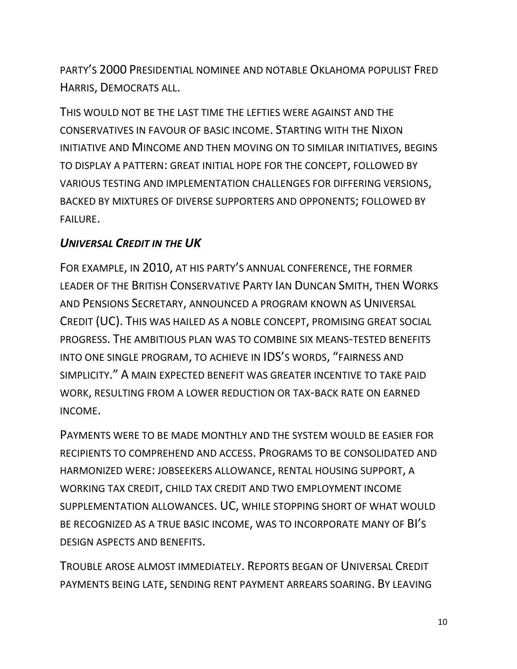PARTY'S 2000 PRESIDENTIAL NOMINEE AND NOTABLE OKLAHOMA POPULIST FRED HARRIS, DEMOCRATS ALL.

THIS WOULD NOT BE THE LAST TIME THE LEFTIES WERE AGAINST AND THE CONSERVATIVES IN FAVOUR OF BASIC INCOME. STARTING WITH THE NIXON INITIATIVE AND MINCOME AND THEN MOVING ON TO SIMILAR INITIATIVES, BEGINS TO DISPLAY A PATTERN: GREAT INITIAL HOPE FOR THE CONCEPT, FOLLOWED BY VARIOUS TESTING AND IMPLEMENTATION CHALLENGES FOR DIFFERING VERSIONS, BACKED BY MIXTURES OF DIVERSE SUPPORTERS AND OPPONENTS; FOLLOWED BY FAILURE.

## *UNIVERSAL CREDIT IN THE UK*

FOR EXAMPLE, IN 2010, AT HIS PARTY'S ANNUAL CONFERENCE, THE FORMER LEADER OF THE BRITISH CONSERVATIVE PARTY IAN DUNCAN SMITH, THEN WORKS AND PENSIONS SECRETARY, ANNOUNCED A PROGRAM KNOWN AS UNIVERSAL CREDIT (UC). THIS WAS HAILED AS A NOBLE CONCEPT, PROMISING GREAT SOCIAL PROGRESS. THE AMBITIOUS PLAN WAS TO COMBINE SIX MEANS-TESTED BENEFITS INTO ONE SINGLE PROGRAM, TO ACHIEVE IN IDS'S WORDS, "FAIRNESS AND SIMPLICITY." A MAIN EXPECTED BENEFIT WAS GREATER INCENTIVE TO TAKE PAID WORK, RESULTING FROM A LOWER REDUCTION OR TAX-BACK RATE ON EARNED INCOME.

PAYMENTS WERE TO BE MADE MONTHLY AND THE SYSTEM WOULD BE EASIER FOR RECIPIENTS TO COMPREHEND AND ACCESS. PROGRAMS TO BE CONSOLIDATED AND HARMONIZED WERE: JOBSEEKERS ALLOWANCE, RENTAL HOUSING SUPPORT, A WORKING TAX CREDIT, CHILD TAX CREDIT AND TWO EMPLOYMENT INCOME SUPPLEMENTATION ALLOWANCES. UC, WHILE STOPPING SHORT OF WHAT WOULD BE RECOGNIZED AS A TRUE BASIC INCOME, WAS TO INCORPORATE MANY OF BI'S DESIGN ASPECTS AND BENEFITS.

TROUBLE AROSE ALMOST IMMEDIATELY. REPORTS BEGAN OF UNIVERSAL CREDIT PAYMENTS BEING LATE, SENDING RENT PAYMENT ARREARS SOARING. BY LEAVING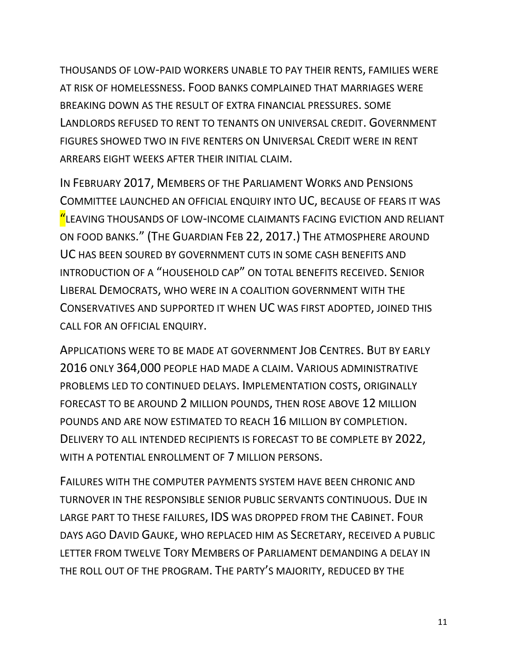THOUSANDS OF LOW-PAID WORKERS UNABLE TO PAY THEIR RENTS, FAMILIES WERE AT RISK OF HOMELESSNESS. FOOD BANKS COMPLAINED THAT MARRIAGES WERE BREAKING DOWN AS THE RESULT OF EXTRA FINANCIAL PRESSURES. SOME LANDLORDS REFUSED TO RENT TO TENANTS ON UNIVERSAL CREDIT. GOVERNMENT FIGURES SHOWED TWO IN FIVE RENTERS ON UNIVERSAL CREDIT WERE IN RENT ARREARS EIGHT WEEKS AFTER THEIR INITIAL CLAIM.

IN FEBRUARY 2017, MEMBERS OF THE PARLIAMENT WORKS AND PENSIONS COMMITTEE LAUNCHED AN OFFICIAL ENQUIRY INTO UC, BECAUSE OF FEARS IT WAS "LEAVING THOUSANDS OF LOW-INCOME CLAIMANTS FACING EVICTION AND RELIANT ON FOOD BANKS." (THE GUARDIAN FEB 22, 2017.) THE ATMOSPHERE AROUND UC HAS BEEN SOURED BY GOVERNMENT CUTS IN SOME CASH BENEFITS AND INTRODUCTION OF A "HOUSEHOLD CAP" ON TOTAL BENEFITS RECEIVED. SENIOR LIBERAL DEMOCRATS, WHO WERE IN A COALITION GOVERNMENT WITH THE CONSERVATIVES AND SUPPORTED IT WHEN UC WAS FIRST ADOPTED, JOINED THIS CALL FOR AN OFFICIAL ENQUIRY.

APPLICATIONS WERE TO BE MADE AT GOVERNMENT JOB CENTRES. BUT BY EARLY 2016 ONLY 364,000 PEOPLE HAD MADE A CLAIM. VARIOUS ADMINISTRATIVE PROBLEMS LED TO CONTINUED DELAYS. IMPLEMENTATION COSTS, ORIGINALLY FORECAST TO BE AROUND 2 MILLION POUNDS, THEN ROSE ABOVE 12 MILLION POUNDS AND ARE NOW ESTIMATED TO REACH 16 MILLION BY COMPLETION. DELIVERY TO ALL INTENDED RECIPIENTS IS FORECAST TO BE COMPLETE BY 2022, WITH A POTENTIAL ENROLLMENT OF 7 MILLION PERSONS.

FAILURES WITH THE COMPUTER PAYMENTS SYSTEM HAVE BEEN CHRONIC AND TURNOVER IN THE RESPONSIBLE SENIOR PUBLIC SERVANTS CONTINUOUS. DUE IN LARGE PART TO THESE FAILURES, IDS WAS DROPPED FROM THE CABINET. FOUR DAYS AGO DAVID GAUKE, WHO REPLACED HIM AS SECRETARY, RECEIVED A PUBLIC LETTER FROM TWELVE TORY MEMBERS OF PARLIAMENT DEMANDING A DELAY IN THE ROLL OUT OF THE PROGRAM. THE PARTY'S MAJORITY, REDUCED BY THE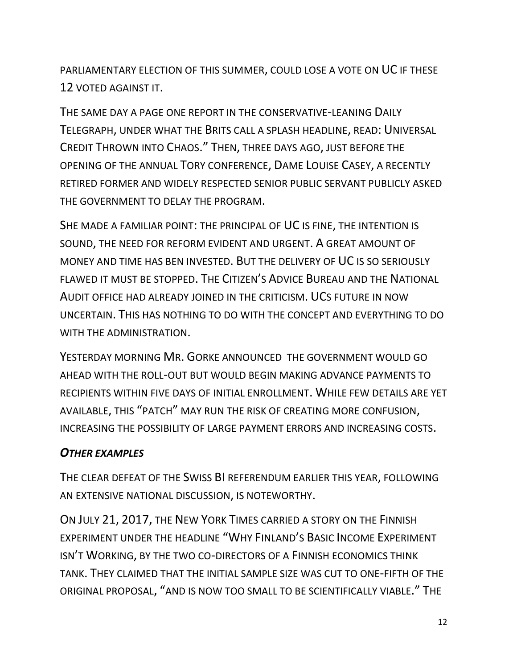PARLIAMENTARY ELECTION OF THIS SUMMER, COULD LOSE A VOTE ON UC IF THESE 12 VOTED AGAINST IT.

THE SAME DAY A PAGE ONE REPORT IN THE CONSERVATIVE-LEANING DAILY TELEGRAPH, UNDER WHAT THE BRITS CALL A SPLASH HEADLINE, READ: UNIVERSAL CREDIT THROWN INTO CHAOS." THEN, THREE DAYS AGO, JUST BEFORE THE OPENING OF THE ANNUAL TORY CONFERENCE, DAME LOUISE CASEY, A RECENTLY RETIRED FORMER AND WIDELY RESPECTED SENIOR PUBLIC SERVANT PUBLICLY ASKED THE GOVERNMENT TO DELAY THE PROGRAM.

SHE MADE A FAMILIAR POINT: THE PRINCIPAL OF UC IS FINE, THE INTENTION IS SOUND, THE NEED FOR REFORM EVIDENT AND URGENT. A GREAT AMOUNT OF MONEY AND TIME HAS BEN INVESTED. BUT THE DELIVERY OF UC IS SO SERIOUSLY FLAWED IT MUST BE STOPPED. THE CITIZEN'S ADVICE BUREAU AND THE NATIONAL AUDIT OFFICE HAD ALREADY JOINED IN THE CRITICISM. UCS FUTURE IN NOW UNCERTAIN. THIS HAS NOTHING TO DO WITH THE CONCEPT AND EVERYTHING TO DO WITH THE ADMINISTRATION.

YESTERDAY MORNING MR. GORKE ANNOUNCED THE GOVERNMENT WOULD GO AHEAD WITH THE ROLL-OUT BUT WOULD BEGIN MAKING ADVANCE PAYMENTS TO RECIPIENTS WITHIN FIVE DAYS OF INITIAL ENROLLMENT. WHILE FEW DETAILS ARE YET AVAILABLE, THIS "PATCH" MAY RUN THE RISK OF CREATING MORE CONFUSION, INCREASING THE POSSIBILITY OF LARGE PAYMENT ERRORS AND INCREASING COSTS.

## *OTHER EXAMPLES*

THE CLEAR DEFEAT OF THE SWISS BI REFERENDUM EARLIER THIS YEAR, FOLLOWING AN EXTENSIVE NATIONAL DISCUSSION, IS NOTEWORTHY.

ON JULY 21, 2017, THE NEW YORK TIMES CARRIED A STORY ON THE FINNISH EXPERIMENT UNDER THE HEADLINE "WHY FINLAND'S BASIC INCOME EXPERIMENT ISN'T WORKING, BY THE TWO CO-DIRECTORS OF A FINNISH ECONOMICS THINK TANK. THEY CLAIMED THAT THE INITIAL SAMPLE SIZE WAS CUT TO ONE-FIFTH OF THE ORIGINAL PROPOSAL, "AND IS NOW TOO SMALL TO BE SCIENTIFICALLY VIABLE." THE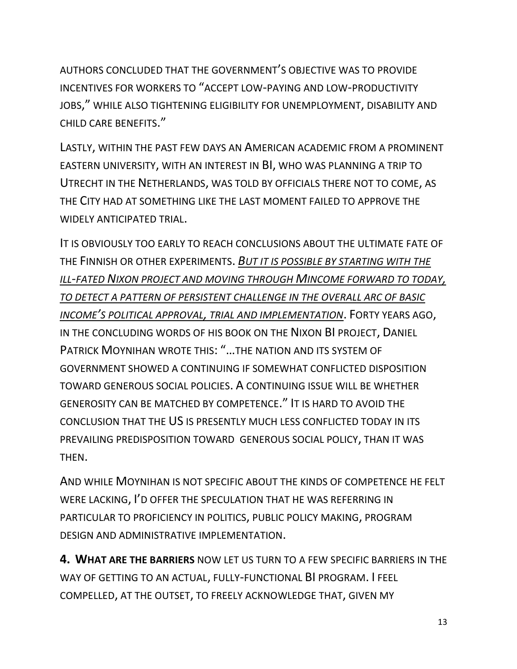AUTHORS CONCLUDED THAT THE GOVERNMENT'S OBJECTIVE WAS TO PROVIDE INCENTIVES FOR WORKERS TO "ACCEPT LOW-PAYING AND LOW-PRODUCTIVITY JOBS," WHILE ALSO TIGHTENING ELIGIBILITY FOR UNEMPLOYMENT, DISABILITY AND CHILD CARE BENEFITS."

LASTLY, WITHIN THE PAST FEW DAYS AN AMERICAN ACADEMIC FROM A PROMINENT EASTERN UNIVERSITY, WITH AN INTEREST IN BI, WHO WAS PLANNING A TRIP TO UTRECHT IN THE NETHERLANDS, WAS TOLD BY OFFICIALS THERE NOT TO COME, AS THE CITY HAD AT SOMETHING LIKE THE LAST MOMENT FAILED TO APPROVE THE WIDELY ANTICIPATED TRIAL.

IT IS OBVIOUSLY TOO EARLY TO REACH CONCLUSIONS ABOUT THE ULTIMATE FATE OF THE FINNISH OR OTHER EXPERIMENTS. *BUT IT IS POSSIBLE BY STARTING WITH THE ILL-FATED NIXON PROJECT AND MOVING THROUGH MINCOME FORWARD TO TODAY, TO DETECT A PATTERN OF PERSISTENT CHALLENGE IN THE OVERALL ARC OF BASIC INCOME'S POLITICAL APPROVAL, TRIAL AND IMPLEMENTATION*. FORTY YEARS AGO, IN THE CONCLUDING WORDS OF HIS BOOK ON THE NIXON BI PROJECT, DANIEL PATRICK MOYNIHAN WROTE THIS: "…THE NATION AND ITS SYSTEM OF GOVERNMENT SHOWED A CONTINUING IF SOMEWHAT CONFLICTED DISPOSITION TOWARD GENEROUS SOCIAL POLICIES. A CONTINUING ISSUE WILL BE WHETHER GENEROSITY CAN BE MATCHED BY COMPETENCE." IT IS HARD TO AVOID THE CONCLUSION THAT THE US IS PRESENTLY MUCH LESS CONFLICTED TODAY IN ITS PREVAILING PREDISPOSITION TOWARD GENEROUS SOCIAL POLICY, THAN IT WAS THEN.

AND WHILE MOYNIHAN IS NOT SPECIFIC ABOUT THE KINDS OF COMPETENCE HE FELT WERE LACKING, I'D OFFER THE SPECULATION THAT HE WAS REFERRING IN PARTICULAR TO PROFICIENCY IN POLITICS, PUBLIC POLICY MAKING, PROGRAM DESIGN AND ADMINISTRATIVE IMPLEMENTATION.

**4. WHAT ARE THE BARRIERS** NOW LET US TURN TO A FEW SPECIFIC BARRIERS IN THE WAY OF GETTING TO AN ACTUAL, FULLY-FUNCTIONAL BI PROGRAM. I FEEL COMPELLED, AT THE OUTSET, TO FREELY ACKNOWLEDGE THAT, GIVEN MY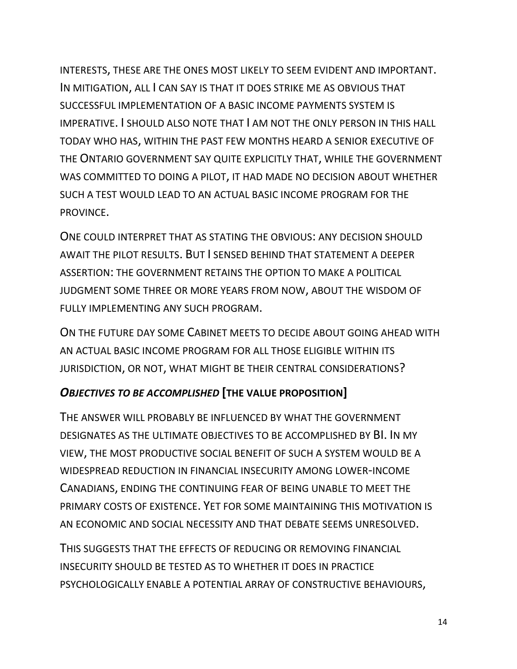INTERESTS, THESE ARE THE ONES MOST LIKELY TO SEEM EVIDENT AND IMPORTANT. IN MITIGATION, ALL I CAN SAY IS THAT IT DOES STRIKE ME AS OBVIOUS THAT SUCCESSFUL IMPLEMENTATION OF A BASIC INCOME PAYMENTS SYSTEM IS IMPERATIVE. I SHOULD ALSO NOTE THAT I AM NOT THE ONLY PERSON IN THIS HALL TODAY WHO HAS, WITHIN THE PAST FEW MONTHS HEARD A SENIOR EXECUTIVE OF THE ONTARIO GOVERNMENT SAY QUITE EXPLICITLY THAT, WHILE THE GOVERNMENT WAS COMMITTED TO DOING A PILOT, IT HAD MADE NO DECISION ABOUT WHETHER SUCH A TEST WOULD LEAD TO AN ACTUAL BASIC INCOME PROGRAM FOR THE PROVINCE.

ONE COULD INTERPRET THAT AS STATING THE OBVIOUS: ANY DECISION SHOULD AWAIT THE PILOT RESULTS. BUT I SENSED BEHIND THAT STATEMENT A DEEPER ASSERTION: THE GOVERNMENT RETAINS THE OPTION TO MAKE A POLITICAL JUDGMENT SOME THREE OR MORE YEARS FROM NOW, ABOUT THE WISDOM OF FULLY IMPLEMENTING ANY SUCH PROGRAM.

ON THE FUTURE DAY SOME CABINET MEETS TO DECIDE ABOUT GOING AHEAD WITH AN ACTUAL BASIC INCOME PROGRAM FOR ALL THOSE ELIGIBLE WITHIN ITS JURISDICTION, OR NOT, WHAT MIGHT BE THEIR CENTRAL CONSIDERATIONS?

### *OBJECTIVES TO BE ACCOMPLISHED* **[THE VALUE PROPOSITION]**

THE ANSWER WILL PROBABLY BE INFLUENCED BY WHAT THE GOVERNMENT DESIGNATES AS THE ULTIMATE OBJECTIVES TO BE ACCOMPLISHED BY BI. IN MY VIEW, THE MOST PRODUCTIVE SOCIAL BENEFIT OF SUCH A SYSTEM WOULD BE A WIDESPREAD REDUCTION IN FINANCIAL INSECURITY AMONG LOWER-INCOME CANADIANS, ENDING THE CONTINUING FEAR OF BEING UNABLE TO MEET THE PRIMARY COSTS OF EXISTENCE. YET FOR SOME MAINTAINING THIS MOTIVATION IS AN ECONOMIC AND SOCIAL NECESSITY AND THAT DEBATE SEEMS UNRESOLVED.

THIS SUGGESTS THAT THE EFFECTS OF REDUCING OR REMOVING FINANCIAL INSECURITY SHOULD BE TESTED AS TO WHETHER IT DOES IN PRACTICE PSYCHOLOGICALLY ENABLE A POTENTIAL ARRAY OF CONSTRUCTIVE BEHAVIOURS,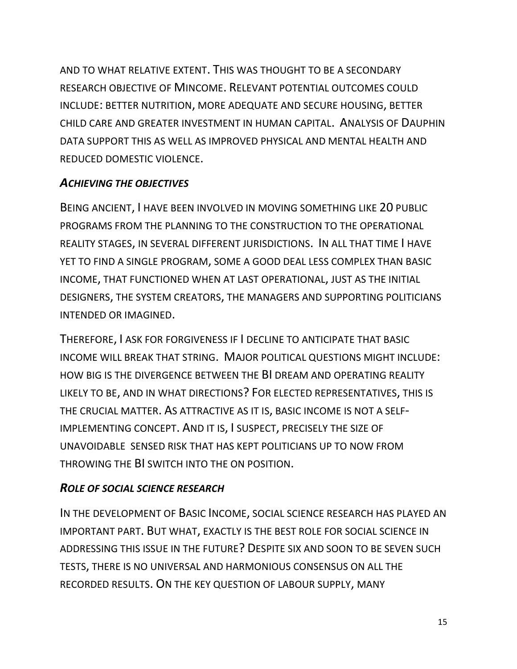AND TO WHAT RELATIVE EXTENT. THIS WAS THOUGHT TO BE A SECONDARY RESEARCH OBJECTIVE OF MINCOME. RELEVANT POTENTIAL OUTCOMES COULD INCLUDE: BETTER NUTRITION, MORE ADEQUATE AND SECURE HOUSING, BETTER CHILD CARE AND GREATER INVESTMENT IN HUMAN CAPITAL. ANALYSIS OF DAUPHIN DATA SUPPORT THIS AS WELL AS IMPROVED PHYSICAL AND MENTAL HEALTH AND REDUCED DOMESTIC VIOLENCE.

#### *ACHIEVING THE OBJECTIVES*

BEING ANCIENT, I HAVE BEEN INVOLVED IN MOVING SOMETHING LIKE 20 PUBLIC PROGRAMS FROM THE PLANNING TO THE CONSTRUCTION TO THE OPERATIONAL REALITY STAGES, IN SEVERAL DIFFERENT JURISDICTIONS. IN ALL THAT TIME I HAVE YET TO FIND A SINGLE PROGRAM, SOME A GOOD DEAL LESS COMPLEX THAN BASIC INCOME, THAT FUNCTIONED WHEN AT LAST OPERATIONAL, JUST AS THE INITIAL DESIGNERS, THE SYSTEM CREATORS, THE MANAGERS AND SUPPORTING POLITICIANS INTENDED OR IMAGINED.

THEREFORE, I ASK FOR FORGIVENESS IF I DECLINE TO ANTICIPATE THAT BASIC INCOME WILL BREAK THAT STRING. MAJOR POLITICAL QUESTIONS MIGHT INCLUDE: HOW BIG IS THE DIVERGENCE BETWEEN THE BI DREAM AND OPERATING REALITY LIKELY TO BE, AND IN WHAT DIRECTIONS? FOR ELECTED REPRESENTATIVES, THIS IS THE CRUCIAL MATTER. AS ATTRACTIVE AS IT IS, BASIC INCOME IS NOT A SELF-IMPLEMENTING CONCEPT. AND IT IS, I SUSPECT, PRECISELY THE SIZE OF UNAVOIDABLE SENSED RISK THAT HAS KEPT POLITICIANS UP TO NOW FROM THROWING THE BI SWITCH INTO THE ON POSITION.

#### *ROLE OF SOCIAL SCIENCE RESEARCH*

IN THE DEVELOPMENT OF BASIC INCOME, SOCIAL SCIENCE RESEARCH HAS PLAYED AN IMPORTANT PART. BUT WHAT, EXACTLY IS THE BEST ROLE FOR SOCIAL SCIENCE IN ADDRESSING THIS ISSUE IN THE FUTURE? DESPITE SIX AND SOON TO BE SEVEN SUCH TESTS, THERE IS NO UNIVERSAL AND HARMONIOUS CONSENSUS ON ALL THE RECORDED RESULTS. ON THE KEY QUESTION OF LABOUR SUPPLY, MANY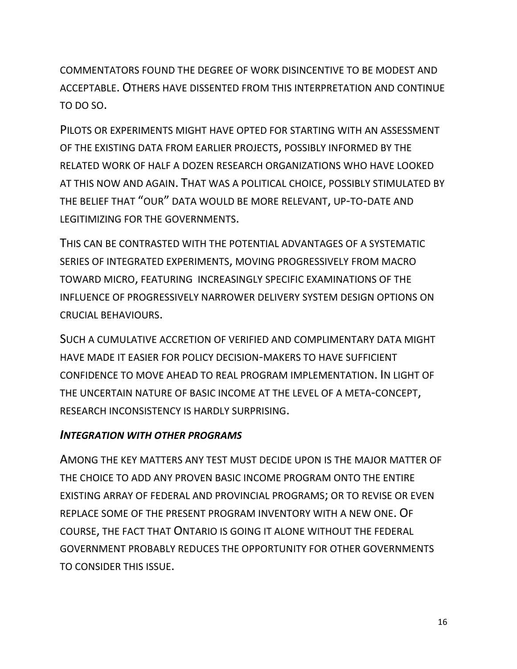COMMENTATORS FOUND THE DEGREE OF WORK DISINCENTIVE TO BE MODEST AND ACCEPTABLE. OTHERS HAVE DISSENTED FROM THIS INTERPRETATION AND CONTINUE TO DO SO.

PILOTS OR EXPERIMENTS MIGHT HAVE OPTED FOR STARTING WITH AN ASSESSMENT OF THE EXISTING DATA FROM EARLIER PROJECTS, POSSIBLY INFORMED BY THE RELATED WORK OF HALF A DOZEN RESEARCH ORGANIZATIONS WHO HAVE LOOKED AT THIS NOW AND AGAIN. THAT WAS A POLITICAL CHOICE, POSSIBLY STIMULATED BY THE BELIEF THAT "OUR" DATA WOULD BE MORE RELEVANT, UP-TO-DATE AND LEGITIMIZING FOR THE GOVERNMENTS.

THIS CAN BE CONTRASTED WITH THE POTENTIAL ADVANTAGES OF A SYSTEMATIC SERIES OF INTEGRATED EXPERIMENTS, MOVING PROGRESSIVELY FROM MACRO TOWARD MICRO, FEATURING INCREASINGLY SPECIFIC EXAMINATIONS OF THE INFLUENCE OF PROGRESSIVELY NARROWER DELIVERY SYSTEM DESIGN OPTIONS ON CRUCIAL BEHAVIOURS.

SUCH A CUMULATIVE ACCRETION OF VERIFIED AND COMPLIMENTARY DATA MIGHT HAVE MADE IT EASIER FOR POLICY DECISION-MAKERS TO HAVE SUFFICIENT CONFIDENCE TO MOVE AHEAD TO REAL PROGRAM IMPLEMENTATION. IN LIGHT OF THE UNCERTAIN NATURE OF BASIC INCOME AT THE LEVEL OF A META-CONCEPT, RESEARCH INCONSISTENCY IS HARDLY SURPRISING.

#### *INTEGRATION WITH OTHER PROGRAMS*

AMONG THE KEY MATTERS ANY TEST MUST DECIDE UPON IS THE MAJOR MATTER OF THE CHOICE TO ADD ANY PROVEN BASIC INCOME PROGRAM ONTO THE ENTIRE EXISTING ARRAY OF FEDERAL AND PROVINCIAL PROGRAMS; OR TO REVISE OR EVEN REPLACE SOME OF THE PRESENT PROGRAM INVENTORY WITH A NEW ONE. OF COURSE, THE FACT THAT ONTARIO IS GOING IT ALONE WITHOUT THE FEDERAL GOVERNMENT PROBABLY REDUCES THE OPPORTUNITY FOR OTHER GOVERNMENTS TO CONSIDER THIS ISSUE.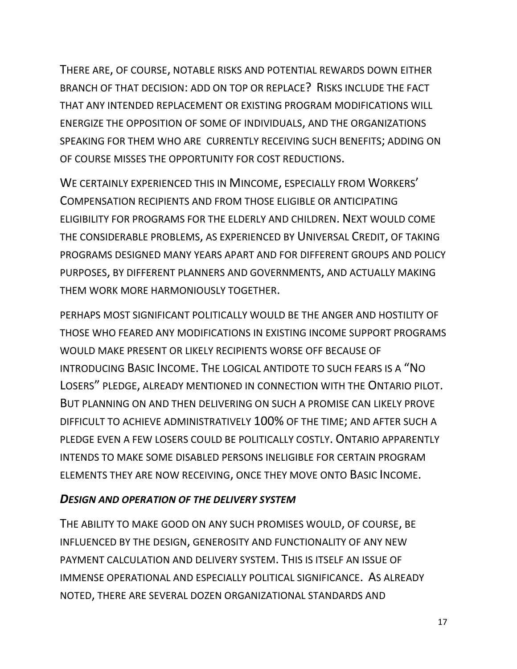THERE ARE, OF COURSE, NOTABLE RISKS AND POTENTIAL REWARDS DOWN EITHER BRANCH OF THAT DECISION: ADD ON TOP OR REPLACE? RISKS INCLUDE THE FACT THAT ANY INTENDED REPLACEMENT OR EXISTING PROGRAM MODIFICATIONS WILL ENERGIZE THE OPPOSITION OF SOME OF INDIVIDUALS, AND THE ORGANIZATIONS SPEAKING FOR THEM WHO ARE CURRENTLY RECEIVING SUCH BENEFITS; ADDING ON OF COURSE MISSES THE OPPORTUNITY FOR COST REDUCTIONS.

WE CERTAINLY EXPERIENCED THIS IN MINCOME, ESPECIALLY FROM WORKERS' COMPENSATION RECIPIENTS AND FROM THOSE ELIGIBLE OR ANTICIPATING ELIGIBILITY FOR PROGRAMS FOR THE ELDERLY AND CHILDREN. NEXT WOULD COME THE CONSIDERABLE PROBLEMS, AS EXPERIENCED BY UNIVERSAL CREDIT, OF TAKING PROGRAMS DESIGNED MANY YEARS APART AND FOR DIFFERENT GROUPS AND POLICY PURPOSES, BY DIFFERENT PLANNERS AND GOVERNMENTS, AND ACTUALLY MAKING THEM WORK MORE HARMONIOUSLY TOGETHER.

PERHAPS MOST SIGNIFICANT POLITICALLY WOULD BE THE ANGER AND HOSTILITY OF THOSE WHO FEARED ANY MODIFICATIONS IN EXISTING INCOME SUPPORT PROGRAMS WOULD MAKE PRESENT OR LIKELY RECIPIENTS WORSE OFF BECAUSE OF INTRODUCING BASIC INCOME. THE LOGICAL ANTIDOTE TO SUCH FEARS IS A "NO LOSERS" PLEDGE, ALREADY MENTIONED IN CONNECTION WITH THE ONTARIO PILOT. BUT PLANNING ON AND THEN DELIVERING ON SUCH A PROMISE CAN LIKELY PROVE DIFFICULT TO ACHIEVE ADMINISTRATIVELY 100% OF THE TIME; AND AFTER SUCH A PLEDGE EVEN A FEW LOSERS COULD BE POLITICALLY COSTLY. ONTARIO APPARENTLY INTENDS TO MAKE SOME DISABLED PERSONS INELIGIBLE FOR CERTAIN PROGRAM ELEMENTS THEY ARE NOW RECEIVING, ONCE THEY MOVE ONTO BASIC INCOME.

#### *DESIGN AND OPERATION OF THE DELIVERY SYSTEM*

THE ABILITY TO MAKE GOOD ON ANY SUCH PROMISES WOULD, OF COURSE, BE INFLUENCED BY THE DESIGN, GENEROSITY AND FUNCTIONALITY OF ANY NEW PAYMENT CALCULATION AND DELIVERY SYSTEM. THIS IS ITSELF AN ISSUE OF IMMENSE OPERATIONAL AND ESPECIALLY POLITICAL SIGNIFICANCE. AS ALREADY NOTED, THERE ARE SEVERAL DOZEN ORGANIZATIONAL STANDARDS AND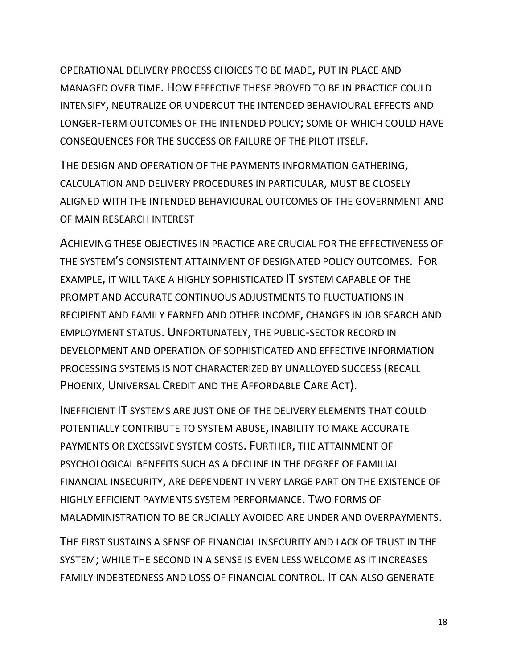OPERATIONAL DELIVERY PROCESS CHOICES TO BE MADE, PUT IN PLACE AND MANAGED OVER TIME. HOW EFFECTIVE THESE PROVED TO BE IN PRACTICE COULD INTENSIFY, NEUTRALIZE OR UNDERCUT THE INTENDED BEHAVIOURAL EFFECTS AND LONGER-TERM OUTCOMES OF THE INTENDED POLICY; SOME OF WHICH COULD HAVE CONSEQUENCES FOR THE SUCCESS OR FAILURE OF THE PILOT ITSELF.

THE DESIGN AND OPERATION OF THE PAYMENTS INFORMATION GATHERING, CALCULATION AND DELIVERY PROCEDURES IN PARTICULAR, MUST BE CLOSELY ALIGNED WITH THE INTENDED BEHAVIOURAL OUTCOMES OF THE GOVERNMENT AND OF MAIN RESEARCH INTEREST

ACHIEVING THESE OBJECTIVES IN PRACTICE ARE CRUCIAL FOR THE EFFECTIVENESS OF THE SYSTEM'S CONSISTENT ATTAINMENT OF DESIGNATED POLICY OUTCOMES. FOR EXAMPLE, IT WILL TAKE A HIGHLY SOPHISTICATED IT SYSTEM CAPABLE OF THE PROMPT AND ACCURATE CONTINUOUS ADJUSTMENTS TO FLUCTUATIONS IN RECIPIENT AND FAMILY EARNED AND OTHER INCOME, CHANGES IN JOB SEARCH AND EMPLOYMENT STATUS. UNFORTUNATELY, THE PUBLIC-SECTOR RECORD IN DEVELOPMENT AND OPERATION OF SOPHISTICATED AND EFFECTIVE INFORMATION PROCESSING SYSTEMS IS NOT CHARACTERIZED BY UNALLOYED SUCCESS (RECALL PHOENIX, UNIVERSAL CREDIT AND THE AFFORDABLE CARE ACT).

INEFFICIENT IT SYSTEMS ARE JUST ONE OF THE DELIVERY ELEMENTS THAT COULD POTENTIALLY CONTRIBUTE TO SYSTEM ABUSE, INABILITY TO MAKE ACCURATE PAYMENTS OR EXCESSIVE SYSTEM COSTS. FURTHER, THE ATTAINMENT OF PSYCHOLOGICAL BENEFITS SUCH AS A DECLINE IN THE DEGREE OF FAMILIAL FINANCIAL INSECURITY, ARE DEPENDENT IN VERY LARGE PART ON THE EXISTENCE OF HIGHLY EFFICIENT PAYMENTS SYSTEM PERFORMANCE. TWO FORMS OF MALADMINISTRATION TO BE CRUCIALLY AVOIDED ARE UNDER AND OVERPAYMENTS.

THE FIRST SUSTAINS A SENSE OF FINANCIAL INSECURITY AND LACK OF TRUST IN THE SYSTEM; WHILE THE SECOND IN A SENSE IS EVEN LESS WELCOME AS IT INCREASES FAMILY INDEBTEDNESS AND LOSS OF FINANCIAL CONTROL. IT CAN ALSO GENERATE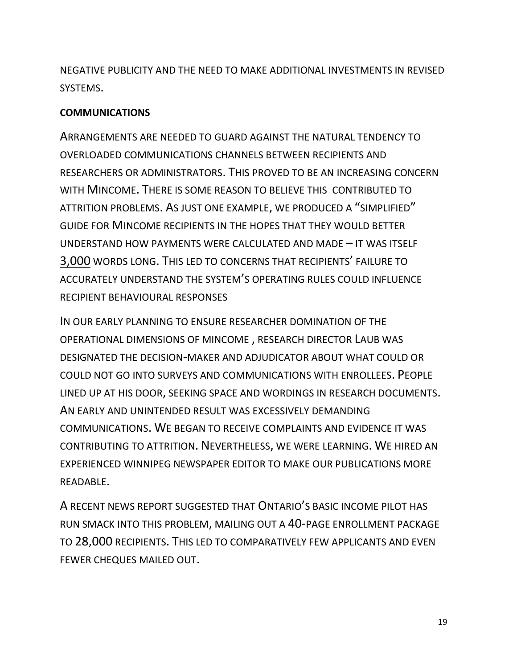NEGATIVE PUBLICITY AND THE NEED TO MAKE ADDITIONAL INVESTMENTS IN REVISED SYSTEMS.

#### **COMMUNICATIONS**

ARRANGEMENTS ARE NEEDED TO GUARD AGAINST THE NATURAL TENDENCY TO OVERLOADED COMMUNICATIONS CHANNELS BETWEEN RECIPIENTS AND RESEARCHERS OR ADMINISTRATORS. THIS PROVED TO BE AN INCREASING CONCERN WITH MINCOME. THERE IS SOME REASON TO BELIEVE THIS CONTRIBUTED TO ATTRITION PROBLEMS. AS JUST ONE EXAMPLE, WE PRODUCED A "SIMPLIFIED" GUIDE FOR MINCOME RECIPIENTS IN THE HOPES THAT THEY WOULD BETTER UNDERSTAND HOW PAYMENTS WERE CALCULATED AND MADE – IT WAS ITSELF 3,000 WORDS LONG. THIS LED TO CONCERNS THAT RECIPIENTS' FAILURE TO ACCURATELY UNDERSTAND THE SYSTEM'S OPERATING RULES COULD INFLUENCE RECIPIENT BEHAVIOURAL RESPONSES

IN OUR EARLY PLANNING TO ENSURE RESEARCHER DOMINATION OF THE OPERATIONAL DIMENSIONS OF MINCOME , RESEARCH DIRECTOR LAUB WAS DESIGNATED THE DECISION-MAKER AND ADJUDICATOR ABOUT WHAT COULD OR COULD NOT GO INTO SURVEYS AND COMMUNICATIONS WITH ENROLLEES. PEOPLE LINED UP AT HIS DOOR, SEEKING SPACE AND WORDINGS IN RESEARCH DOCUMENTS. AN EARLY AND UNINTENDED RESULT WAS EXCESSIVELY DEMANDING COMMUNICATIONS. WE BEGAN TO RECEIVE COMPLAINTS AND EVIDENCE IT WAS CONTRIBUTING TO ATTRITION. NEVERTHELESS, WE WERE LEARNING. WE HIRED AN EXPERIENCED WINNIPEG NEWSPAPER EDITOR TO MAKE OUR PUBLICATIONS MORE READABLE.

A RECENT NEWS REPORT SUGGESTED THAT ONTARIO'S BASIC INCOME PILOT HAS RUN SMACK INTO THIS PROBLEM, MAILING OUT A 40-PAGE ENROLLMENT PACKAGE TO 28,000 RECIPIENTS. THIS LED TO COMPARATIVELY FEW APPLICANTS AND EVEN FEWER CHEQUES MAILED OUT.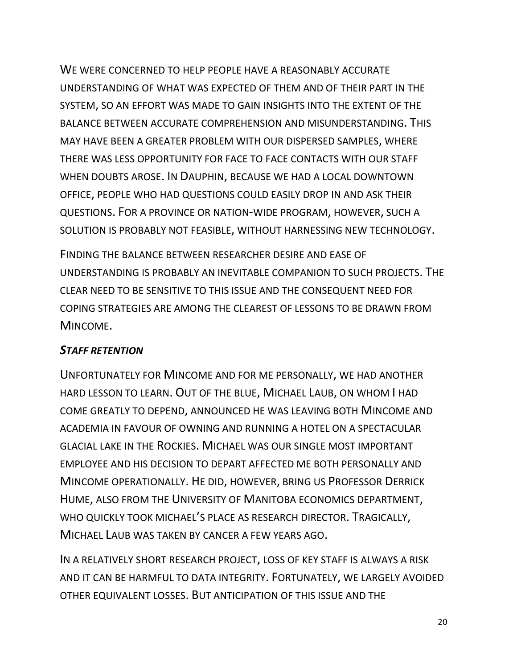WE WERE CONCERNED TO HELP PEOPLE HAVE A REASONABLY ACCURATE UNDERSTANDING OF WHAT WAS EXPECTED OF THEM AND OF THEIR PART IN THE SYSTEM, SO AN EFFORT WAS MADE TO GAIN INSIGHTS INTO THE EXTENT OF THE BALANCE BETWEEN ACCURATE COMPREHENSION AND MISUNDERSTANDING. THIS MAY HAVE BEEN A GREATER PROBLEM WITH OUR DISPERSED SAMPLES, WHERE THERE WAS LESS OPPORTUNITY FOR FACE TO FACE CONTACTS WITH OUR STAFF WHEN DOUBTS AROSE. IN DAUPHIN, BECAUSE WE HAD A LOCAL DOWNTOWN OFFICE, PEOPLE WHO HAD QUESTIONS COULD EASILY DROP IN AND ASK THEIR QUESTIONS. FOR A PROVINCE OR NATION-WIDE PROGRAM, HOWEVER, SUCH A SOLUTION IS PROBABLY NOT FEASIBLE, WITHOUT HARNESSING NEW TECHNOLOGY.

FINDING THE BALANCE BETWEEN RESEARCHER DESIRE AND EASE OF UNDERSTANDING IS PROBABLY AN INEVITABLE COMPANION TO SUCH PROJECTS. THE CLEAR NEED TO BE SENSITIVE TO THIS ISSUE AND THE CONSEQUENT NEED FOR COPING STRATEGIES ARE AMONG THE CLEAREST OF LESSONS TO BE DRAWN FROM MINCOME.

### *STAFF RETENTION*

UNFORTUNATELY FOR MINCOME AND FOR ME PERSONALLY, WE HAD ANOTHER HARD LESSON TO LEARN. OUT OF THE BLUE, MICHAEL LAUB, ON WHOM I HAD COME GREATLY TO DEPEND, ANNOUNCED HE WAS LEAVING BOTH MINCOME AND ACADEMIA IN FAVOUR OF OWNING AND RUNNING A HOTEL ON A SPECTACULAR GLACIAL LAKE IN THE ROCKIES. MICHAEL WAS OUR SINGLE MOST IMPORTANT EMPLOYEE AND HIS DECISION TO DEPART AFFECTED ME BOTH PERSONALLY AND MINCOME OPERATIONALLY. HE DID, HOWEVER, BRING US PROFESSOR DERRICK HUME, ALSO FROM THE UNIVERSITY OF MANITOBA ECONOMICS DEPARTMENT, WHO QUICKLY TOOK MICHAEL'S PLACE AS RESEARCH DIRECTOR. TRAGICALLY, MICHAEL LAUB WAS TAKEN BY CANCER A FEW YEARS AGO.

IN A RELATIVELY SHORT RESEARCH PROJECT, LOSS OF KEY STAFF IS ALWAYS A RISK AND IT CAN BE HARMFUL TO DATA INTEGRITY. FORTUNATELY, WE LARGELY AVOIDED OTHER EQUIVALENT LOSSES. BUT ANTICIPATION OF THIS ISSUE AND THE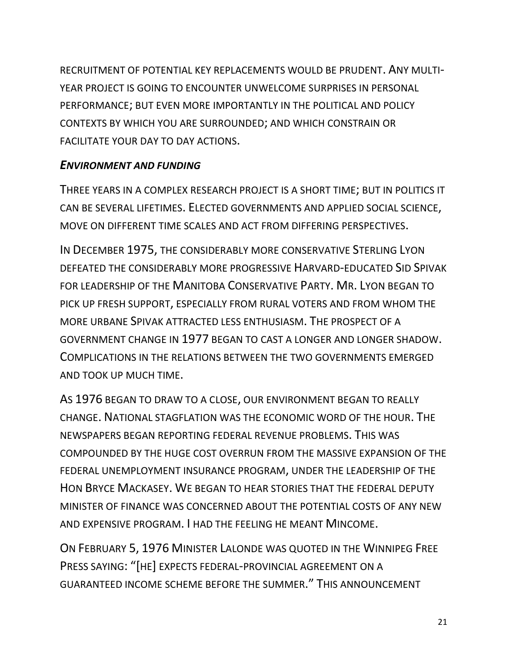RECRUITMENT OF POTENTIAL KEY REPLACEMENTS WOULD BE PRUDENT. ANY MULTI-YEAR PROJECT IS GOING TO ENCOUNTER UNWELCOME SURPRISES IN PERSONAL PERFORMANCE; BUT EVEN MORE IMPORTANTLY IN THE POLITICAL AND POLICY CONTEXTS BY WHICH YOU ARE SURROUNDED; AND WHICH CONSTRAIN OR FACILITATE YOUR DAY TO DAY ACTIONS.

#### *ENVIRONMENT AND FUNDING*

THREE YEARS IN A COMPLEX RESEARCH PROJECT IS A SHORT TIME; BUT IN POLITICS IT CAN BE SEVERAL LIFETIMES. ELECTED GOVERNMENTS AND APPLIED SOCIAL SCIENCE, MOVE ON DIFFERENT TIME SCALES AND ACT FROM DIFFERING PERSPECTIVES.

IN DECEMBER 1975, THE CONSIDERABLY MORE CONSERVATIVE STERLING LYON DEFEATED THE CONSIDERABLY MORE PROGRESSIVE HARVARD-EDUCATED SID SPIVAK FOR LEADERSHIP OF THE MANITOBA CONSERVATIVE PARTY. MR. LYON BEGAN TO PICK UP FRESH SUPPORT, ESPECIALLY FROM RURAL VOTERS AND FROM WHOM THE MORE URBANE SPIVAK ATTRACTED LESS ENTHUSIASM. THE PROSPECT OF A GOVERNMENT CHANGE IN 1977 BEGAN TO CAST A LONGER AND LONGER SHADOW. COMPLICATIONS IN THE RELATIONS BETWEEN THE TWO GOVERNMENTS EMERGED AND TOOK UP MUCH TIME.

AS 1976 BEGAN TO DRAW TO A CLOSE, OUR ENVIRONMENT BEGAN TO REALLY CHANGE. NATIONAL STAGFLATION WAS THE ECONOMIC WORD OF THE HOUR. THE NEWSPAPERS BEGAN REPORTING FEDERAL REVENUE PROBLEMS. THIS WAS COMPOUNDED BY THE HUGE COST OVERRUN FROM THE MASSIVE EXPANSION OF THE FEDERAL UNEMPLOYMENT INSURANCE PROGRAM, UNDER THE LEADERSHIP OF THE HON BRYCE MACKASEY. WE BEGAN TO HEAR STORIES THAT THE FEDERAL DEPUTY MINISTER OF FINANCE WAS CONCERNED ABOUT THE POTENTIAL COSTS OF ANY NEW AND EXPENSIVE PROGRAM. I HAD THE FEELING HE MEANT MINCOME.

ON FEBRUARY 5, 1976 MINISTER LALONDE WAS QUOTED IN THE WINNIPEG FREE PRESS SAYING: "[HE] EXPECTS FEDERAL-PROVINCIAL AGREEMENT ON A GUARANTEED INCOME SCHEME BEFORE THE SUMMER." THIS ANNOUNCEMENT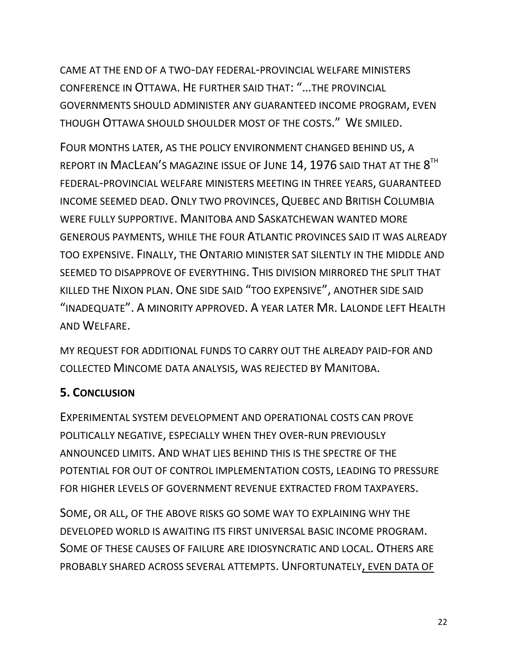CAME AT THE END OF A TWO-DAY FEDERAL-PROVINCIAL WELFARE MINISTERS CONFERENCE IN OTTAWA. HE FURTHER SAID THAT: "…THE PROVINCIAL GOVERNMENTS SHOULD ADMINISTER ANY GUARANTEED INCOME PROGRAM, EVEN THOUGH OTTAWA SHOULD SHOULDER MOST OF THE COSTS." WE SMILED.

FOUR MONTHS LATER, AS THE POLICY ENVIRONMENT CHANGED BEHIND US, A REPORT IN  ${\sf MACLEAN}'$ S MAGAZINE ISSUE OF  ${\sf JUNE}$   $14$ ,  $1976$  SAID THAT AT THE  $8^{\sf TH}$ FEDERAL-PROVINCIAL WELFARE MINISTERS MEETING IN THREE YEARS, GUARANTEED INCOME SEEMED DEAD. ONLY TWO PROVINCES, QUEBEC AND BRITISH COLUMBIA WERE FULLY SUPPORTIVE. MANITOBA AND SASKATCHEWAN WANTED MORE GENEROUS PAYMENTS, WHILE THE FOUR ATLANTIC PROVINCES SAID IT WAS ALREADY TOO EXPENSIVE. FINALLY, THE ONTARIO MINISTER SAT SILENTLY IN THE MIDDLE AND SEEMED TO DISAPPROVE OF EVERYTHING. THIS DIVISION MIRRORED THE SPLIT THAT KILLED THE NIXON PLAN. ONE SIDE SAID "TOO EXPENSIVE", ANOTHER SIDE SAID "INADEQUATE". A MINORITY APPROVED. A YEAR LATER MR. LALONDE LEFT HEALTH AND WELFARE.

MY REQUEST FOR ADDITIONAL FUNDS TO CARRY OUT THE ALREADY PAID-FOR AND COLLECTED MINCOME DATA ANALYSIS, WAS REJECTED BY MANITOBA.

### **5. CONCLUSION**

EXPERIMENTAL SYSTEM DEVELOPMENT AND OPERATIONAL COSTS CAN PROVE POLITICALLY NEGATIVE, ESPECIALLY WHEN THEY OVER-RUN PREVIOUSLY ANNOUNCED LIMITS. AND WHAT LIES BEHIND THIS IS THE SPECTRE OF THE POTENTIAL FOR OUT OF CONTROL IMPLEMENTATION COSTS, LEADING TO PRESSURE FOR HIGHER LEVELS OF GOVERNMENT REVENUE EXTRACTED FROM TAXPAYERS.

SOME, OR ALL, OF THE ABOVE RISKS GO SOME WAY TO EXPLAINING WHY THE DEVELOPED WORLD IS AWAITING ITS FIRST UNIVERSAL BASIC INCOME PROGRAM. SOME OF THESE CAUSES OF FAILURE ARE IDIOSYNCRATIC AND LOCAL. OTHERS ARE PROBABLY SHARED ACROSS SEVERAL ATTEMPTS. UNFORTUNATELY, EVEN DATA OF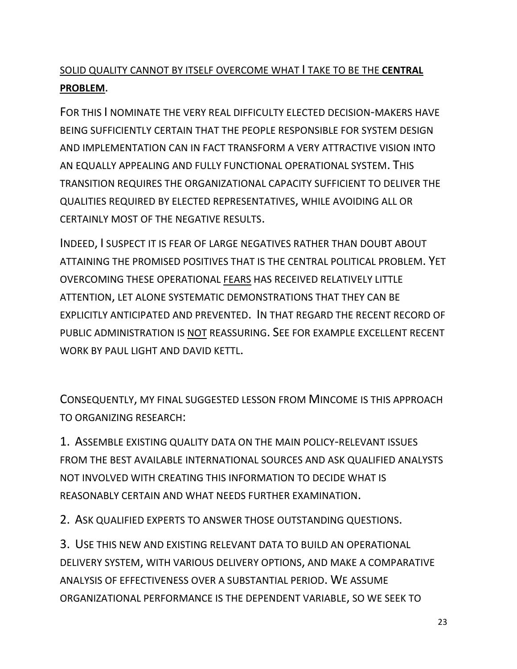## SOLID QUALITY CANNOT BY ITSELF OVERCOME WHAT I TAKE TO BE THE **CENTRAL PROBLEM**.

FOR THIS I NOMINATE THE VERY REAL DIFFICULTY ELECTED DECISION-MAKERS HAVE BEING SUFFICIENTLY CERTAIN THAT THE PEOPLE RESPONSIBLE FOR SYSTEM DESIGN AND IMPLEMENTATION CAN IN FACT TRANSFORM A VERY ATTRACTIVE VISION INTO AN EQUALLY APPEALING AND FULLY FUNCTIONAL OPERATIONAL SYSTEM. THIS TRANSITION REQUIRES THE ORGANIZATIONAL CAPACITY SUFFICIENT TO DELIVER THE QUALITIES REQUIRED BY ELECTED REPRESENTATIVES, WHILE AVOIDING ALL OR CERTAINLY MOST OF THE NEGATIVE RESULTS.

INDEED, I SUSPECT IT IS FEAR OF LARGE NEGATIVES RATHER THAN DOUBT ABOUT ATTAINING THE PROMISED POSITIVES THAT IS THE CENTRAL POLITICAL PROBLEM. YET OVERCOMING THESE OPERATIONAL FEARS HAS RECEIVED RELATIVELY LITTLE ATTENTION, LET ALONE SYSTEMATIC DEMONSTRATIONS THAT THEY CAN BE EXPLICITLY ANTICIPATED AND PREVENTED. IN THAT REGARD THE RECENT RECORD OF PUBLIC ADMINISTRATION IS NOT REASSURING. SEE FOR EXAMPLE EXCELLENT RECENT WORK BY PAUL LIGHT AND DAVID KETTL.

CONSEQUENTLY, MY FINAL SUGGESTED LESSON FROM MINCOME IS THIS APPROACH TO ORGANIZING RESEARCH:

1. ASSEMBLE EXISTING QUALITY DATA ON THE MAIN POLICY-RELEVANT ISSUES FROM THE BEST AVAILABLE INTERNATIONAL SOURCES AND ASK QUALIFIED ANALYSTS NOT INVOLVED WITH CREATING THIS INFORMATION TO DECIDE WHAT IS REASONABLY CERTAIN AND WHAT NEEDS FURTHER EXAMINATION.

2. ASK QUALIFIED EXPERTS TO ANSWER THOSE OUTSTANDING QUESTIONS.

3. USE THIS NEW AND EXISTING RELEVANT DATA TO BUILD AN OPERATIONAL DELIVERY SYSTEM, WITH VARIOUS DELIVERY OPTIONS, AND MAKE A COMPARATIVE ANALYSIS OF EFFECTIVENESS OVER A SUBSTANTIAL PERIOD. WE ASSUME ORGANIZATIONAL PERFORMANCE IS THE DEPENDENT VARIABLE, SO WE SEEK TO